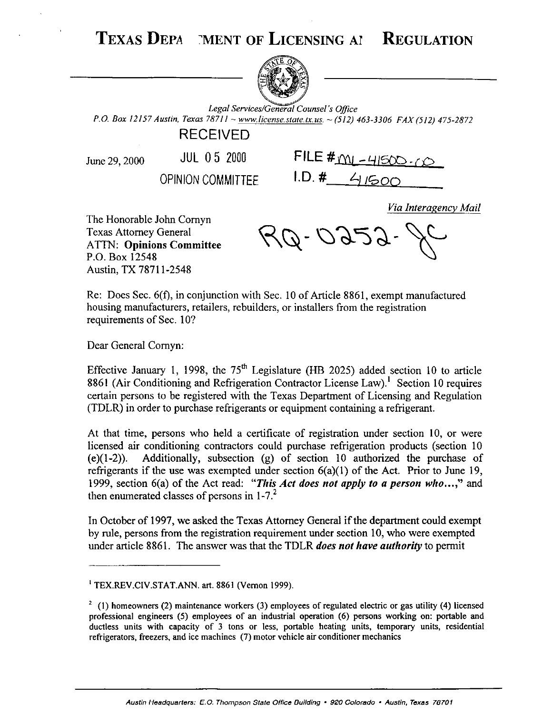TEXAS DEPA MENT OF LICENSING AI **REGULATION** 



Legal Services/General Counsel's Office *P.O. Box 12157 Austin, Texas 78711 ~ www.license.state.tx.us. ~ (512) 463-3306 FAX (512) 475-2872* 

## RECEIVED

June 29, 2000 JUL  $05$  2000

**OPINION COMMITTEE** 1.D. #\_\_\_\_4/500

|            | FILE $#_{\text{ML-HISOD-LO}}$ |
|------------|-------------------------------|
| $1 \cap 1$ |                               |

*Via Interagency Mail* 

The Honorable John Comyn Texas Attorney General ATTN: **Opinions Committee**  P.O. Box 12548 Austin, TX 78711-2548

 $\cancel{r}$ Q-0252

Re: Does Sec. 6(f), in conjunction with Sec. 10 of Article 8861, exempt manufactured housing manufacturers, retailers, rebuilders, or installers from the registration requirements of Sec. 10?

Dear General Comyn:

Effective January 1, 1998, the  $75<sup>th</sup>$  Legislature (HB 2025) added section 10 to article 8861 (Air Conditioning and Refrigeration Contractor License Law).<sup>1</sup> Section 10 requires certain persons to be registered with the Texas Department of Licensing and Regulation (TDLR) in order to purchase refrigerants or equipment containing a refrigerant.

At that time, persons who held a certificate of registration under section 10, or were licensed air conditioning contractors could purchase refrigeration products (section 10 (e)(l-2)). Additionally, subsection (g) of section 10 authorized the purchase of refrigerants if the use was exempted under section  $6(a)(1)$  of the Act. Prior to June 19, 1999, section 6(a) of the Act read: *"This Act does not apply to a person who...,"* and then enumerated classes of persons in  $1-7<sup>2</sup>$ 

In October of 1997, we asked the Texas Attorney General if the department could exempt by rule, persons from the registration requirement under section 10, who were exempted under article 8861. The answer was that the TDLR *does not have authority* to permit

<sup>&</sup>lt;sup>1</sup> TEX.REV.CIV.STAT.ANN. art. 8861 (Vernon 1999).

 $2 \text{ (1)}$  homeowners (2) maintenance workers (3) employees of regulated electric or gas utility (4) licensed professional engineers (5) employees of an industrial operation (6) persons working on: portable and ductless units with capacity of 3 tons or less, portable heating units, temporary units, residential refrigerators, freezers, and ice machines (7) motor vehicle air conditioner mechanics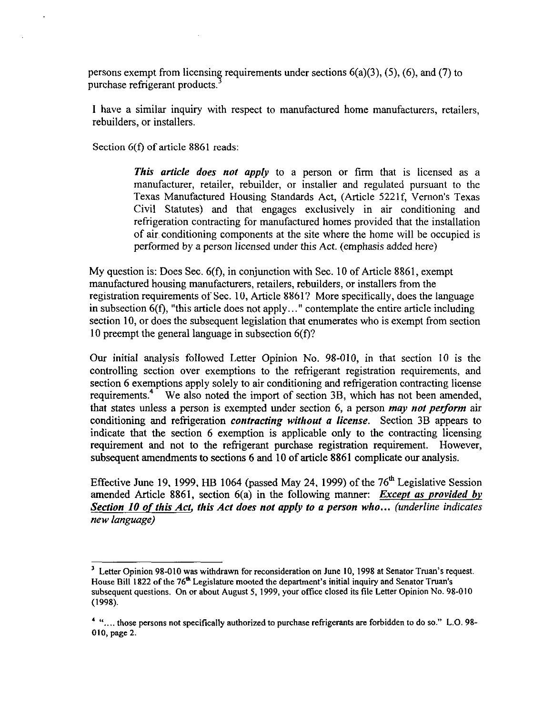persons exempt from licensing requirements under sections  $6(a)(3)$ ,  $(5)$ ,  $(6)$ , and  $(7)$  to purchase refrigerant products.

I have a similar inquiry with respect to manufactured home manufacturers, retailers, rebuilders, or installers.

Section 6(f) of article 8861 reads:

**This article does not apply to a person or firm that is licensed as a** manufacturer, retailer, rebuilder, or installer and regulated pursuant to the Texas Manufactured Housing Standards Act, (Article 5221f, Vernon's Texas Civil Statutes) and that engages exclusively in air conditioning and refrigeration contracting for manufactured homes provided that the installation of air. conditioning components at the site where the home will be occupied is performed by a person licensed under this Act. (emphasis added here)

My question is: Does Sec. 6(f), in conjunction with Sec. 10 of Article 8861, exempt manufactured housing manufacturers, retailers, rebuilders, or installers from the registration requirements of Sec. 10, Article 8861? More specifically, does the language in subsection  $6(f)$ , "this article does not apply..." contemplate the entire article including section 10, or does the subsequent legislation that enumerates who is exempt from section 10 preempt the general language in subsection 6(f)?

Our initial analysis followed Letter Opinion No. 98-010, in that section IO is the controlling section over exemptions to the refrigerant registration requirements, and section 6 exemptions apply solely to air conditioning and refrigeration contracting license requirements.<sup>4</sup> We also noted the import of section 3B, which has not been amended, that states unless a person is exempted under section 6, a person may not *perform* air conditioning and refrigeration *contracting without* n *license.* Section 3B appears to indicate that the section 6 exemption is applicable only to the contracting licensing requirement and not to the refrigerant purchase registration requirement. However, subsequent amendments to sections 6 and 10 of article 8861 complicate our analysis.

Effective June 19, 1999, HB 1064 (passed May 24, 1999) of the 76" Legislative Session amended Article 8861, section 6(a) in the following manner: *Except as provided 6v Section IO of this Act, this Act does not apply to a person who... (underline indicates new language)* 

<sup>&</sup>lt;sup>3</sup> Letter Opinion 98-010 was withdrawn for reconsideration on June 10, 1998 at Senator Truan's request. House Bill 1822 of the 76<sup>th</sup> Legislature mooted the department's initial inquiry and Senator Truan's subsequent questions. On or about August 5, 1999, your office closed its file Letter Opinion No. 98-010 (1998).

<sup>&</sup>lt;sup>4</sup> ".... those persons not specifically authorized to purchase refrigerants are forbidden to do so." L.O. 98-010, page 2.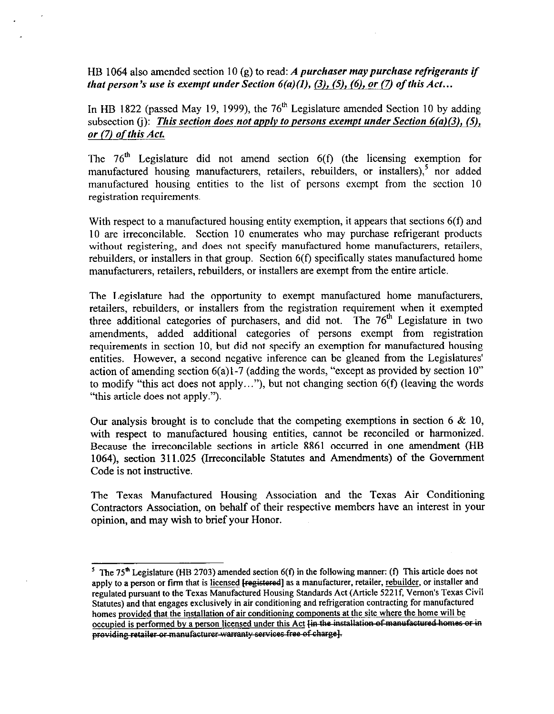HB 1064 also amended section 10 *(g)* to read: *A purchaser may purchase refrigerants if that person's use is exempt under Section*  $6(a)(1)$ *, (3), (5), (6), or (7) of this Act...* 

In HB 1822 (passed May 19, 1999), the 76" Legislature amended Section 10 by adding subsection *(i): This section does not apply to persons exempt under Section 6(a)(3), (S), or (7) of this Act* 

The  $76<sup>th</sup>$  Legislature did not amend section  $6(f)$  (the licensing exemption for manufactured housing manufacturers, retailers, rebuilders, or installers),<sup>5</sup> nor added manufactured housing entities to the list of persons exempt from the section 10 registration requirements.

With respect to a manufactured housing entity exemption, it appears that sections 6(f) and 10 are irreconcilable. Section 10 enumerates who may purchase refrigerant products without registering, and does not specify manufactured home manufacturers, retailers, rebuilders, or installers in that group. Section 6(f) specifically states manufactured home manufacturers, retailers, rebuilders, or installers are exempt from the entire article.

The Legislature had the opportunity to exempt manufactured home manufacturers, retailers, rebuilders, or installers from the registration requirement when it exempted three additional categories of purchasers, and did not. The  $76<sup>th</sup>$  Legislature in two amendments, added additional categories of persons exempt from registration requirements in section 10, but did not specify an exemption for manufactured housing entities. However, a second negative inference can be gleaned from the Legislatures' action of amending section  $6(a)1-7$  (adding the words, "except as provided by section  $10$ " to modify "this act does not apply..."), but not changing section  $6(f)$  (leaving the words "this article does not apply.").

Our analysis brought is to conclude that the competing exemptions in section 6  $\&$  10, with respect to manufactured housing entities, cannot be reconciled or harmonized. Because the irreconcilable sections in article 8861 occurred in one amendment (HB 1064), section 311.025 (Irreconcilable Statutes and Amendments) of the Government Code is not instructive.

The Texas Manufactured Housing Association and the Texas Air Conditioning Contractors Association, on behalf of their respective members have an interest in your opinion, and may wish to brief your Honor.

<sup>&</sup>lt;sup>5</sup> The 75<sup>th</sup> Legislature (HB 2703) amended section 6(f) in the following manner: (f) This article does not apply to a person or firm that is licensed [registered] as a manufacturer, retailer, rebuilder, or installer and regulated pursuant to the Texas Manufactured Housing Standards Act (Article 5221f, Vernon's Texas Civil<br>Statutes) and that engages exclusively in air conditioning and refrigeration contracting for manufactured homes provided that the installation of air conditioning components at the site where the home will be homes provided that the installation of air conditioning components at the site where the home will be occupied is performed by a person licensed under this Act p